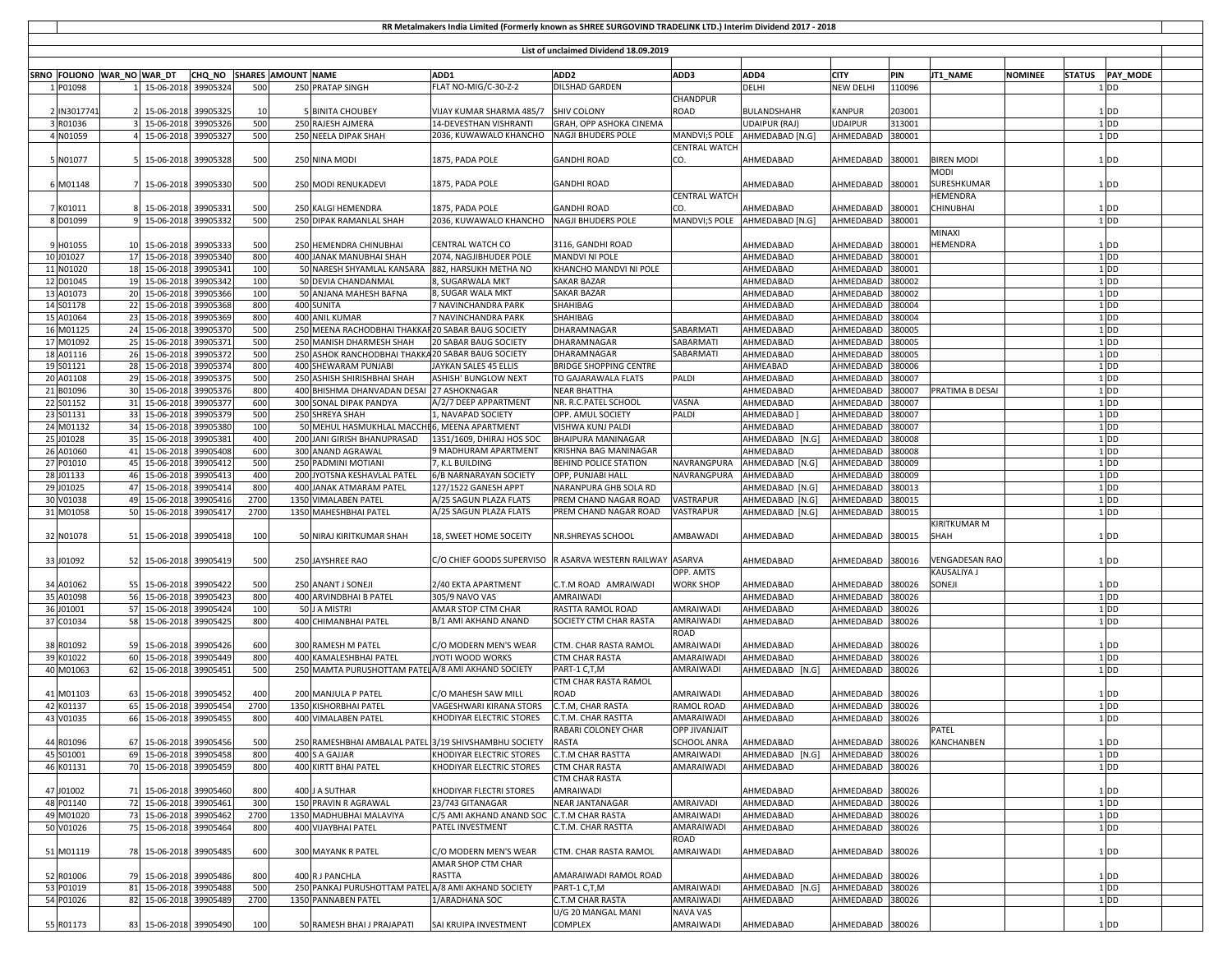| RR Metalmakers India Limited (Formerly known as SHREE SURGOVIND TRADELINK LTD.) Interim Dividend 2017 - 2018 |                            |                                         |                           |             |  |                                                                      |                                                     |                                                           |                             |                                 |                                       |                  |                    |                |                                          |  |
|--------------------------------------------------------------------------------------------------------------|----------------------------|-----------------------------------------|---------------------------|-------------|--|----------------------------------------------------------------------|-----------------------------------------------------|-----------------------------------------------------------|-----------------------------|---------------------------------|---------------------------------------|------------------|--------------------|----------------|------------------------------------------|--|
|                                                                                                              |                            |                                         |                           |             |  |                                                                      |                                                     | List of unclaimed Dividend 18.09.2019                     |                             |                                 |                                       |                  |                    |                |                                          |  |
|                                                                                                              |                            |                                         |                           |             |  |                                                                      |                                                     |                                                           |                             |                                 |                                       |                  |                    |                |                                          |  |
| 1 P01098                                                                                                     | SRNO FOLIONO WAR_NO WAR_DT | 1 15-06-2018 39905324                   | CHQ_NO SHARES AMOUNT NAME | 500         |  | 250 PRATAP SINGH                                                     | ADD1<br>FLAT NO-MIG/C-30-Z-2                        | ADD <sub>2</sub><br>DILSHAD GARDEN                        | ADD3                        | ADD4<br>DELHI                   | <b>CITY</b><br>NEW DELHI              | PIN<br>110096    | JT1_NAME           | <b>NOMINEE</b> | <b>STATUS</b><br><b>PAY MODE</b><br>1 DD |  |
|                                                                                                              |                            |                                         |                           |             |  |                                                                      |                                                     |                                                           | <b>CHANDPUR</b>             |                                 |                                       |                  |                    |                |                                          |  |
| 2 IN301774                                                                                                   |                            | 15-06-2018                              | 39905325                  | 10          |  | 5 BINITA CHOUBEY                                                     | VIJAY KUMAR SHARMA 485/7 SHIV COLONY                |                                                           | <b>ROAD</b>                 | <b>BULANDSHAHR</b>              | <b>KANPUR</b>                         | 203001           |                    |                | 1 <sub>DD</sub>                          |  |
| 3 R01036                                                                                                     |                            | 3 15-06-2018                            | 39905326                  | 500         |  | 250 RAJESH AJMERA                                                    | 14-DEVESTHAN VISHRANTI                              | GRAH, OPP ASHOKA CINEMA                                   |                             | <b>UDAIPUR (RAJ)</b>            | <b>UDAIPUR</b>                        | 313001           |                    |                | $1$ <sub>DD</sub>                        |  |
| 4 N01059                                                                                                     |                            | 4 15-06-2018                            | 39905327                  | 500         |  | 250 NEELA DIPAK SHAH                                                 | 2036, KUWAWALO KHANCHO                              | <b>NAGJI BHUDERS POLE</b>                                 |                             | MANDVI;S POLE   AHMEDABAD [N.G] | AHMEDABAD                             | 380001           |                    |                | 1 <sub>DD</sub>                          |  |
|                                                                                                              |                            |                                         |                           |             |  |                                                                      | 1875, PADA POLE                                     | <b>GANDHI ROAD</b>                                        | <b>CENTRAL WATCH</b><br>CO. |                                 |                                       |                  | <b>BIREN MODI</b>  |                |                                          |  |
| 5 N01077                                                                                                     |                            | 15-06-2018                              | 39905328                  | 500         |  | 250 NINA MODI                                                        |                                                     |                                                           |                             | AHMEDABAD                       | AHMEDABAD                             | 380001           | MODI               |                | 1 <sub>DD</sub>                          |  |
| 6 M01148                                                                                                     |                            | 15-06-2018                              | 39905330                  | 500         |  | 250 MODI RENUKADEVI                                                  | 1875, PADA POLE                                     | <b>GANDHI ROAD</b>                                        |                             | AHMEDABAD                       | AHMEDABAD                             | 380001           | SURESHKUMAR        |                | 1 <sub>DD</sub>                          |  |
|                                                                                                              |                            |                                         |                           |             |  |                                                                      |                                                     |                                                           | <b>CENTRAL WATCH</b>        |                                 |                                       |                  | HEMENDRA           |                |                                          |  |
| 7 K01011                                                                                                     |                            | 15-06-2018                              | 39905331                  | 500         |  | 250 KALGI HEMENDRA                                                   | 1875, PADA POLE                                     | <b>GANDHI ROAD</b>                                        | CO.                         | AHMEDABAD                       | AHMEDABAD                             | 380001           | CHINUBHAI          |                | 1 <sub>DD</sub>                          |  |
| 8 D01099                                                                                                     |                            | 9 15-06-2018                            | 39905332                  | 500         |  | 250 DIPAK RAMANLAL SHAH                                              | 2036, KUWAWALO KHANCHO NAGJI BHUDERS POLE           |                                                           |                             | MANDVI;S POLE AHMEDABAD [N.G]   | AHMEDABAD                             | 380001           |                    |                | 1 DD                                     |  |
| 9 H01055                                                                                                     |                            | 10 15-06-2018                           | 39905333                  | 500         |  | 250 HEMENDRA CHINUBHAI                                               | CENTRAL WATCH CO                                    | 3116, GANDHI ROAD                                         |                             | AHMEDABAD                       | AHMEDABAD                             | 380001           | MINAXI<br>HEMENDRA |                | $1$ <sub>DD</sub>                        |  |
| 10 J01027                                                                                                    |                            | 17 15-06-2018                           | 39905340                  | 800         |  | 400 JANAK MANUBHAI SHAH                                              | 2074, NAGJIBHUDER POLE                              | <b>MANDVI NI POLE</b>                                     |                             | AHMEDABAD                       | AHMEDABAD                             | 380001           |                    |                | 1 <sub>DD</sub>                          |  |
| 11 N01020                                                                                                    |                            | 18 15-06-2018                           | 39905341                  | 100         |  | 50 NARESH SHYAMLAL KANSARA                                           | 882, HARSUKH METHA NO                               | KHANCHO MANDVI NI POLE                                    |                             | AHMEDABAD                       | AHMEDABAD                             | 380001           |                    |                | $1$ <sub>DD</sub>                        |  |
| 12 D01045                                                                                                    |                            | 19 15-06-2018                           | 39905342                  | 100         |  | 50 DEVIA CHANDANMAL                                                  | 8, SUGARWALA MKT                                    | <b>SAKAR BAZAR</b>                                        |                             | AHMEDABAD                       | AHMEDABAD                             | 380002           |                    |                | $1$ <sub>DD</sub>                        |  |
| 13 A01073                                                                                                    |                            | 20 15-06-2018                           | 39905366                  | 100         |  | 50 ANJANA MAHESH BAFNA                                               | 8, SUGAR WALA MKT                                   | <b>SAKAR BAZAR</b>                                        |                             | AHMEDABAD                       | AHMEDABAD                             | 380002           |                    |                | $1$ DD                                   |  |
| 14 S01178                                                                                                    |                            | 22 15-06-2018                           | 39905368                  | 800         |  | 400 SUNITA                                                           | 7 NAVINCHANDRA PARK                                 | SHAHIBAG                                                  |                             | AHMEDABAD                       | AHMEDABAD                             | 380004           |                    |                | 1 <sub>DD</sub>                          |  |
| 15 A01064<br>16 M01125                                                                                       |                            | 23 15-06-2018<br>24 15-06-2018          | 39905369<br>39905370      | 800<br>500  |  | 400 ANIL KUMAR<br>250 MEENA RACHODBHAI THAKKAR 20 SABAR BAUG SOCIETY | 7 NAVINCHANDRA PARK                                 | SHAHIBAG<br>DHARAMNAGAR                                   | SABARMATI                   | AHMEDABAD<br>AHMEDABAD          | AHMEDABAD<br>AHMEDABAD                | 380004<br>380005 |                    |                | 1 <sub>DD</sub><br>$1$ <sub>DD</sub>     |  |
| 17 M01092                                                                                                    |                            | 25 15-06-2018                           | 39905371                  | 500         |  | 250 MANISH DHARMESH SHAH                                             | 20 SABAR BAUG SOCIETY                               | DHARAMNAGAR                                               | SABARMATI                   | AHMEDABAD                       | AHMEDABAD                             | 380005           |                    |                | $1$ <sub>DD</sub>                        |  |
| 18 A01116                                                                                                    |                            | 26 15-06-2018                           | 39905372                  | 500         |  | 250 ASHOK RANCHODBHAI THAKKA 20 SABAR BAUG SOCIETY                   |                                                     | DHARAMNAGAR                                               | SABARMATI                   | AHMEDABAD                       | AHMEDABAD                             | 380005           |                    |                | $1$ <sub>DD</sub>                        |  |
| 19 S01121                                                                                                    |                            | 28 15-06-2018                           | 39905374                  | 800         |  | 400 SHEWARAM PUNJABI                                                 | JAYKAN SALES 45 ELLIS                               | <b>BRIDGE SHOPPING CENTRE</b>                             |                             | AHMEABAD                        | AHMEDABAD                             | 380006           |                    |                | 1 DD                                     |  |
| 20 A01108                                                                                                    |                            | 29 15-06-2018                           | 39905375                  | 500         |  | 250 ASHISH SHIRISHBHAI SHAH                                          | ASHISH' BUNGLOW NEXT                                | TO GAJARAWALA FLATS                                       | PALDI                       | AHMEDABAD                       | AHMEDABAD                             | 380007           |                    |                | 1 DD                                     |  |
| 21 B01096                                                                                                    |                            | 30 15-06-2018                           | 39905376                  | 800         |  | 400 BHISHMA DHANVADAN DESAI                                          | 27 ASHOKNAGAR                                       | <b>NEAR BHATTHA</b>                                       |                             | AHMEDABAD                       | AHMEDABAD                             | 380007           | PRATIMA B DESAI    |                | 1 DD                                     |  |
| 22 S01152<br>23 S01131                                                                                       |                            | 31 15-06-2018<br>33 15-06-2018          | 39905377<br>39905379      | 600<br>500  |  | 300 SONAL DIPAK PANDYA<br>250 SHREYA SHAH                            | A/2/7 DEEP APPARTMENT<br>1, NAVAPAD SOCIETY         | NR. R.C.PATEL SCHOOL<br>OPP. AMUL SOCIETY                 | VASNA<br>PALDI              | AHMEDABAD<br>AHMEDABAD          | AHMEDABAD<br>AHMEDABAD                | 380007<br>380007 |                    |                | $1$ <sub>DD</sub><br>1 <sub>DD</sub>     |  |
| 24 M01132                                                                                                    |                            | 34 15-06-2018                           | 39905380                  | 100         |  | 50 MEHUL HASMUKHLAL MACCHE6, MEENA APARTMENT                         |                                                     | VISHWA KUNJ PALDI                                         |                             | AHMEDABAD                       | AHMEDABAD                             | 380007           |                    |                | 1 DD                                     |  |
| 25 J01028                                                                                                    |                            | 35 15-06-2018                           | 39905381                  | 400         |  | 200 JANI GIRISH BHANUPRASAD                                          | 1351/1609, DHIRAJ HOS SOC                           | <b>BHAIPURA MANINAGAR</b>                                 |                             | AHMEDABAD [N.G]                 | AHMEDABAD                             | 380008           |                    |                | 1 <sub>DD</sub>                          |  |
| 26 A01060                                                                                                    |                            | 41 15-06-2018                           | 39905408                  | 600         |  | 300 ANAND AGRAWAL                                                    | 9 MADHURAM APARTMENT                                | KRISHNA BAG MANINAGAR                                     |                             | AHMEDABAD                       | AHMEDABAD                             | 380008           |                    |                | $1$ <sub>DD</sub>                        |  |
| 27 P01010                                                                                                    |                            | 45 15-06-2018                           | 39905412                  | 500         |  | 250 PADMINI MOTIANI                                                  | 7, K.L BUILDING                                     | <b>BEHIND POLICE STATION</b>                              | NAVRANGPURA                 | AHMEDABAD [N.G]                 | AHMEDABAD                             | 380009           |                    |                | $1$ <sub>DD</sub>                        |  |
| 28 J01133<br>29 J01025                                                                                       |                            | 46 15-06-2018<br>47 15-06-2018          | 39905413<br>39905414      | 400<br>800  |  | 200 JYOTSNA KESHAVLAL PATEL<br>400 JANAK ATMARAM PATEL               | 6/B NARNARAYAN SOCIETY<br>127/1522 GANESH APPT      | OPP, PUNJABI HALL<br>NARANPURA GHB SOLA RD                | NAVRANGPURA                 | AHMEDABAD<br>AHMEDABAD [N.G]    | AHMEDABAD<br>AHMEDABAD                | 380009<br>380013 |                    |                | 1 <sub>DD</sub><br>$1$ <sub>DD</sub>     |  |
| 30 V01038                                                                                                    |                            | 49 15-06-2018                           | 39905416                  | 2700        |  | 1350 VIMALABEN PATEL                                                 | A/25 SAGUN PLAZA FLATS                              | PREM CHAND NAGAR ROAD                                     | VASTRAPUR                   | AHMEDABAD [N.G]                 | AHMEDABAD                             | 380015           |                    |                | 1 DD                                     |  |
| 31 M01058                                                                                                    |                            | 50 15-06-2018                           | 39905417                  | 2700        |  | 1350 MAHESHBHAI PATEL                                                | A/25 SAGUN PLAZA FLATS                              | PREM CHAND NAGAR ROAD                                     | VASTRAPUR                   | AHMEDABAD [N.G]                 | AHMEDABAD                             | 380015           |                    |                | $1$ <sub>DD</sub>                        |  |
|                                                                                                              |                            |                                         |                           |             |  |                                                                      |                                                     |                                                           |                             |                                 |                                       |                  | KIRITKUMAR M       |                |                                          |  |
| 32 N01078                                                                                                    |                            | 51 15-06-2018 39905418                  |                           | 100         |  | 50 NIRAJ KIRITKUMAR SHAH                                             | 18, SWEET HOME SOCEITY                              | NR.SHREYAS SCHOOL                                         | AMBAWADI                    | AHMEDABAD                       | AHMEDABAD 380015                      |                  | SHAH               |                | 1 <sub>DD</sub>                          |  |
| 33 J01092                                                                                                    |                            | 52 15-06-2018                           | 39905419                  | 500         |  | 250 JAYSHREE RAO                                                     |                                                     | C/O CHIEF GOODS SUPERVISO R ASARVA WESTERN RAILWAY ASARVA |                             | AHMEDABAD                       | AHMEDABAD                             | 380016           | VENGADESAN RAO     |                | $1$ DD                                   |  |
|                                                                                                              |                            |                                         |                           |             |  |                                                                      |                                                     |                                                           | OPP. AMTS                   |                                 |                                       |                  | KAUSALIYA J        |                |                                          |  |
| 34 A01062                                                                                                    |                            | 55 15-06-2018                           | 39905422                  | 500         |  | 250 ANANT J SONEJI                                                   | 2/40 EKTA APARTMENT                                 | C.T.M ROAD AMRAIWADI                                      | <b>WORK SHOP</b>            | AHMEDABAD                       | AHMEDABAD                             | 380026           | SONEJI             |                | 1 <sub>DD</sub>                          |  |
| 35 A01098                                                                                                    |                            | 56 15-06-2018                           | 39905423                  | 800         |  | 400 ARVINDBHAI B PATEL                                               | 305/9 NAVO VAS                                      | AMRAIWADI                                                 |                             | AHMEDABAD                       | AHMEDABAD 380026                      |                  |                    |                | 1 <sub>DD</sub>                          |  |
| 36 J01001                                                                                                    |                            | 57 15-06-2018                           | 39905424                  | 100         |  | 50 J A MISTRI                                                        | AMAR STOP CTM CHAR                                  | RASTTA RAMOL ROAD                                         | AMRAIWADI                   | AHMEDABAD                       | AHMEDABAD                             | 380026           |                    |                | $1$ <sub>DD</sub>                        |  |
| 37 C01034                                                                                                    |                            | 58 15-06-2018                           | 39905425                  | 800         |  | 400 CHIMANBHAI PATEL                                                 | B/1 AMI AKHAND ANAND                                | SOCIETY CTM CHAR RASTA                                    | AMRAIWADI                   | AHMEDABAD                       | AHMEDABAD                             | 380026           |                    |                | 1 <sub>DD</sub>                          |  |
| 38 R01092                                                                                                    |                            | 59 15-06-2018                           | 39905426                  | 600         |  | 300 RAMESH M PATEI                                                   | C/O MODERN MEN'S WEAR                               | CTM. CHAR RASTA RAMOL                                     | ROAD<br>AMRAIWADI           | AHMEDABAD                       | AHMEDABAD                             | 380026           |                    |                | $1$ <sub>DD</sub>                        |  |
| 39 K01022                                                                                                    |                            | 60 15-06-2018                           | 39905449                  | 800         |  | 400 KAMALESHBHAI PATEL                                               | JYOTI WOOD WORKS                                    | <b>CTM CHAR RASTA</b>                                     | AMARAIWADI                  | AHMEDABAD                       | AHMEDABAD 380026                      |                  |                    |                | $1$ <sub>DD</sub>                        |  |
| 40 M01063                                                                                                    |                            | 62 15-06-2018                           | 39905451                  | 500         |  | 250 MAMTA PURUSHOTTAM PATELA/8 AMI AKHAND SOCIETY                    |                                                     | PART-1 C,T,M                                              | AMRAIWADI                   | AHMEDABAD [N.G]                 | AHMEDABAD                             | 380026           |                    |                | 1 DD                                     |  |
|                                                                                                              |                            |                                         |                           |             |  |                                                                      |                                                     | CTM CHAR RASTA RAMOL                                      |                             |                                 |                                       |                  |                    |                |                                          |  |
| 41 M01103                                                                                                    |                            | 63 15-06-2018                           | 39905452                  | 400         |  | 200 MANJULA P PATEL                                                  | C/O MAHESH SAW MILL                                 | ROAD                                                      | AMRAIWADI                   | AHMEDABAD                       | AHMEDABAD                             | 380026           |                    |                | 1 <sub>DD</sub>                          |  |
| 42 K01137<br>43 V01035                                                                                       |                            | 65 15-06-2018<br>66 15-06-2018 39905455 | 39905454                  | 2700<br>800 |  | 1350 KISHORBHAI PATEL<br>400 VIMALABEN PATEL                         | VAGESHWARI KIRANA STORS<br>KHODIYAR ELECTRIC STORES | C.T.M, CHAR RASTA<br><b>C.T.M. CHAR RASTTA</b>            | RAMOL ROAD<br>AMARAIWADI    | AHMEDABAD<br>AHMEDABAD          | AHMEDABAD 380026<br>AHMEDABAD  380026 |                  |                    |                | $1$ DD<br>1 DD                           |  |
|                                                                                                              |                            |                                         |                           |             |  |                                                                      |                                                     | RABARI COLONEY CHAR                                       | <b>OPP JIVANJAIT</b>        |                                 |                                       |                  | PATEL              |                |                                          |  |
| 44 R01096                                                                                                    |                            | 67 15-06-2018 39905456                  |                           | 500         |  | 250 RAMESHBHAI AMBALAL PATEL                                         | 3/19 SHIVSHAMBHU SOCIETY                            | RASTA                                                     | <b>SCHOOL ANRA</b>          | AHMEDABAD                       | AHMEDABAD                             | 380026           | KANCHANBEN         |                | 1 <sub>DD</sub>                          |  |
| 45 S01001                                                                                                    |                            | 69 15-06-2018 39905458                  |                           | 800         |  | 400 S A GAJJAR                                                       | KHODIYAR ELECTRIC STORES                            | <b>C.T.M CHAR RASTTA</b>                                  | AMRAIWADI                   | AHMEDABAD [N.G]                 | AHMEDABAD 380026                      |                  |                    |                | $1$ DD                                   |  |
| 46 K01131                                                                                                    |                            | 70 15-06-2018 39905459                  |                           | 800         |  | 400 KIRTT BHAI PATEL                                                 | KHODIYAR ELECTRIC STORES                            | <b>CTM CHAR RASTA</b>                                     | AMARAIWADI                  | AHMEDABAD                       | AHMEDABAD 380026                      |                  |                    |                | $1$ DD                                   |  |
| 47 J01002                                                                                                    |                            | 71 15-06-2018                           | 39905460                  | 800         |  | 400 J A SUTHAR                                                       | KHODIYAR FLECTRI STORES                             | <b>CTM CHAR RASTA</b><br>AMRAIWADI                        |                             | AHMEDABAD                       | AHMEDABAD                             | 380026           |                    |                | $1$ <sub>DD</sub>                        |  |
| 48 P01140                                                                                                    |                            | 72 15-06-2018                           | 39905461                  | 300         |  | 150 PRAVIN R AGRAWAL                                                 | 23/743 GITANAGAR                                    | <b>NEAR JANTANAGAR</b>                                    | AMRAIVADI                   | AHMEDABAD                       | AHMEDABAD 380026                      |                  |                    |                | 1 <sub>DD</sub>                          |  |
| 49 M01020                                                                                                    |                            | 73 15-06-2018 39905462                  |                           | 2700        |  | 1350 MADHUBHAI MALAVIYA                                              | C/5 AMI AKHAND ANAND SOC C.T.M CHAR RASTA           |                                                           | AMRAIWADI                   | AHMEDABAD                       | AHMEDABAD 380026                      |                  |                    |                | $1$ DD                                   |  |
| 50 V01026                                                                                                    |                            | 75 15-06-2018                           | 39905464                  | 800         |  | 400 VIJAYBHAI PATEL                                                  | PATEL INVESTMENT                                    | C.T.M. CHAR RASTTA                                        | AMARAIWADI                  | AHMEDABAD                       | AHMEDABAD                             | 380026           |                    |                | $1$ DD                                   |  |
|                                                                                                              |                            |                                         |                           |             |  |                                                                      |                                                     |                                                           | ROAD                        |                                 |                                       |                  |                    |                |                                          |  |
| 51 M01119                                                                                                    |                            | 78 15-06-2018                           | 39905485                  | 600         |  | 300 MAYANK R PATEL                                                   | C/O MODERN MEN'S WEAR                               | CTM. CHAR RASTA RAMOL                                     | AMRAIWADI                   | AHMEDABAD                       | AHMEDABAD 380026                      |                  |                    |                | $1$ DD                                   |  |
| 52 R01006                                                                                                    |                            | 79 15-06-2018 39905486                  |                           | 800         |  | 400 R J PANCHLA                                                      | AMAR SHOP CTM CHAR<br>RASTTA                        | AMARAIWADI RAMOL ROAD                                     |                             | AHMEDABAD                       | AHMEDABAD 380026                      |                  |                    |                | 1 DD                                     |  |
| 53 P01019                                                                                                    |                            | 81 15-06-2018                           | 39905488                  | 500         |  | 250 PANKAJ PURUSHOTTAM PATEL A/8 AMI AKHAND SOCIETY                  |                                                     | PART-1 C,T,M                                              | AMRAIWADI                   | AHMEDABAD [N.G]                 | AHMEDABAD 380026                      |                  |                    |                | $1$ <sub>DD</sub>                        |  |
| 54 P01026                                                                                                    |                            | 82 15-06-2018 39905489                  |                           | 2700        |  | 1350 PANNABEN PATEL                                                  | 1/ARADHANA SOC                                      | C.T.M CHAR RASTA                                          | AMRAIWADI                   | AHMEDABAD                       | AHMEDABAD 380026                      |                  |                    |                | $1$ DD                                   |  |
|                                                                                                              |                            |                                         |                           |             |  |                                                                      |                                                     | U/G 20 MANGAL MANI                                        | <b>NAVA VAS</b>             |                                 |                                       |                  |                    |                |                                          |  |
| 55 R01173                                                                                                    |                            | 83 15-06-2018 39905490                  |                           | 100         |  | 50 RAMESH BHAI J PRAJAPATI                                           | SAI KRUIPA INVESTMENT                               | COMPLEX                                                   | AMRAIWADI                   | AHMEDABAD                       | AHMEDABAD 380026                      |                  |                    |                | $1$ DD                                   |  |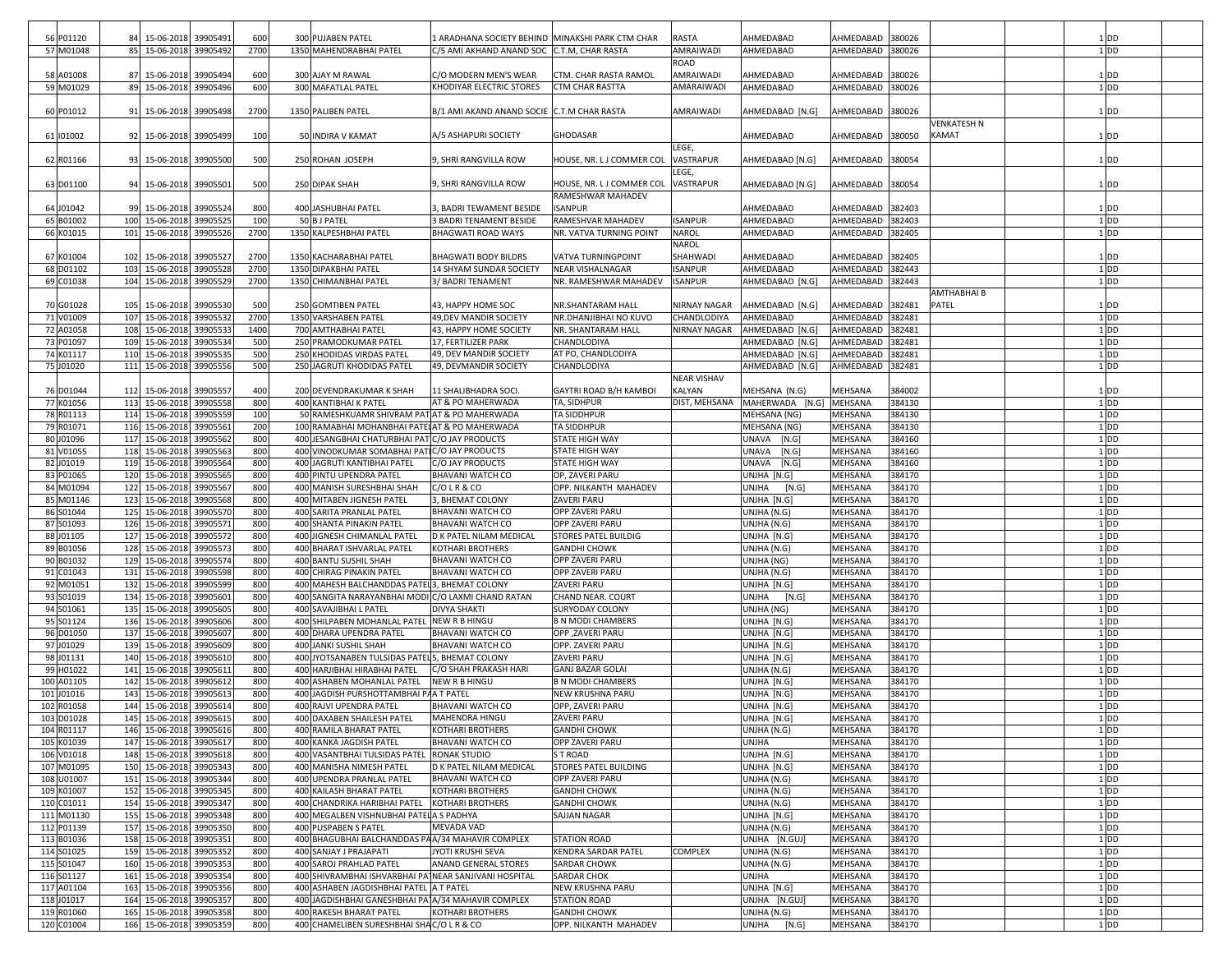| 56 P01120  | 84 15-06-2018           | 39905491 | 600  | 300 PUJABEN PATEL                                     | LARADHANA SOCIETY BEHIND MINAKSHI PARK CTM CHAR |                                    | <b>RASTA</b>       | AHMEDABAD               | AHMEDABAD        | 380026 |             | 1 DD              |
|------------|-------------------------|----------|------|-------------------------------------------------------|-------------------------------------------------|------------------------------------|--------------------|-------------------------|------------------|--------|-------------|-------------------|
| 57 M01048  | 85 15-06-2018 39905492  |          | 2700 | 1350 MAHENDRABHAI PATEL                               | C/5 AMI AKHAND ANAND SOC C.T.M, CHAR RASTA      |                                    | AMRAIWADI          | AHMEDABAD               | AHMEDABAD 380026 |        |             | $1$ DD            |
|            |                         |          |      |                                                       |                                                 |                                    |                    |                         |                  |        |             |                   |
|            |                         |          |      |                                                       |                                                 |                                    | <b>ROAD</b>        |                         |                  |        |             |                   |
| 58 A01008  | 87 15-06-2018           | 39905494 | 600  | 300 AJAY M RAWAL                                      | C/O MODERN MEN'S WEAR                           | CTM. CHAR RASTA RAMOL              | AMRAIWADI          | AHMEDABAD               | AHMEDABAD        | 380026 |             | 1 DD              |
| 59 M01029  | 89 15-06-2018           | 39905496 | 600  | 300 MAFATLAL PATEL                                    | KHODIYAR ELECTRIC STORES                        | <b>CTM CHAR RASTTA</b>             | AMARAIWADI         | AHMEDABAD               | AHMEDABAD 380026 |        |             | $1$ DD            |
|            |                         |          |      |                                                       |                                                 |                                    |                    |                         |                  |        |             |                   |
| 60 P01012  | 91 15-06-2018 39905498  |          | 2700 | 1350 PALIBEN PATEL                                    | B/1 AMI AKAND ANAND SOCIE C.T.M CHAR RASTA      |                                    | AMRAIWADI          | AHMEDABAD [N.G]         | AHMEDABAD 380026 |        |             | 1 DD              |
|            |                         |          |      |                                                       |                                                 |                                    |                    |                         |                  |        | VENKATESH N |                   |
| 61 101002  | 92 15-06-2018           | 39905499 | 100  | 50 INDIRA V KAMAT                                     | A/5 ASHAPURI SOCIETY                            |                                    |                    | AHMEDABAD               | AHMEDABAD 380050 |        | KAMAT       | 1 DD              |
|            |                         |          |      |                                                       |                                                 | <b>GHODASAR</b>                    |                    |                         |                  |        |             |                   |
|            |                         |          |      |                                                       |                                                 |                                    | LEGE,              |                         |                  |        |             |                   |
| 62 R01166  | 93 15-06-2018           | 39905500 | 500  | 250 ROHAN JOSEPH                                      | 9, SHRI RANGVILLA ROW                           | HOUSE, NR. LJ COMMER COL           | <b>VASTRAPUR</b>   | AHMEDABAD [N.G]         | AHMEDABAD 380054 |        |             | $1$ DD            |
|            |                         |          |      |                                                       |                                                 |                                    | LEGE,              |                         |                  |        |             |                   |
| 63 D01100  | 94 15-06-2018 39905501  |          | 500  | 250 DIPAK SHAH                                        | 9, SHRI RANGVILLA ROW                           | HOUSE, NR. LJ COMMER COL VASTRAPUR |                    | AHMEDABAD [N.G]         | AHMEDABAD 380054 |        |             | $1$ DD            |
|            |                         |          |      |                                                       |                                                 | RAMESHWAR MAHADEV                  |                    |                         |                  |        |             |                   |
| 64 J01042  | 99 15-06-2018           | 39905524 | 800  | 400 JASHUBHAI PATEL                                   | 3. BADRI TEWAMENT BESIDE                        | <b>ISANPUR</b>                     |                    | AHMEDABAD               | AHMEDABAD        | 382403 |             | $1$ DD            |
|            |                         |          |      |                                                       | <b>3 BADRI TENAMENT BESIDE</b>                  |                                    |                    |                         |                  |        |             |                   |
| 65 B01002  | 100 15-06-2018          | 39905525 | 100  | 50 B J PATEL                                          |                                                 | RAMESHVAR MAHADEV                  | <b>ISANPUR</b>     | AHMEDABAD               | AHMEDABAD        | 382403 |             | $1$ DD            |
| 66 K01015  | 101 15-06-2018          | 39905526 | 2700 | 1350 KALPESHBHAI PATEL                                | <b>BHAGWATI ROAD WAYS</b>                       | NR. VATVA TURNING POINT            | <b>NAROL</b>       | AHMEDABAD               | AHMEDABAD 382405 |        |             | $1$ DD            |
|            |                         |          |      |                                                       |                                                 |                                    | <b>NAROL</b>       |                         |                  |        |             |                   |
| 67 K01004  | 102 15-06-2018          | 39905527 | 2700 | 1350 KACHARABHAI PATEL                                | <b>BHAGWATI BODY BILDRS</b>                     | VATVA TURNINGPOINT                 | SHAHWADI           | AHMEDABAD               | AHMEDABAD        | 382405 |             | 1 DD              |
| 68 D01102  | 103 15-06-2018          | 39905528 | 2700 | 1350 DIPAKBHAI PATEL                                  | 14 SHYAM SUNDAR SOCIETY                         | <b>NEAR VISHALNAGAR</b>            | <b>ISANPUR</b>     | AHMEDABAD               | AHMEDABAD        | 382443 |             | $1$ DD            |
| 69 C01038  | 104 15-06-2018          | 39905529 | 2700 | 1350 CHIMANBHAI PATEL                                 | 3/ BADRI TENAMENT                               | NR. RAMESHWAR MAHADEV              | <b>ISANPUR</b>     | AHMEDABAD [N.G]         | AHMEDABAD        | 382443 |             | $1$ DD            |
|            |                         |          |      |                                                       |                                                 |                                    |                    |                         |                  |        | AMTHABHAI B |                   |
|            |                         |          |      |                                                       |                                                 |                                    |                    |                         |                  |        |             |                   |
| 70 G01028  | 105 15-06-2018          | 39905530 | 500  | 250 GOMTIBEN PATEL                                    | 43, HAPPY HOME SOC                              | NR.SHANTARAM HALL                  | NIRNAY NAGAR       | AHMEDABAD [N.G]         | AHMEDABAD        | 382481 | PATEL       | $1$ DD            |
| 71 V01009  | 107 15-06-2018          | 39905532 | 2700 | 1350 VARSHABEN PATEL                                  | 49, DEV MANDIR SOCIETY                          | NR.DHANJIBHAI NO KUVO              | CHANDLODIYA        | AHMEDABAD               | AHMEDABAD        | 382481 |             | $1$ DD            |
| 72 A01058  | 108 15-06-2018          | 39905533 | 1400 | 700 AMTHABHAI PATEL                                   | 43, HAPPY HOME SOCIETY                          | NR. SHANTARAM HALL                 | NIRNAY NAGAR       | AHMEDABAD [N.G]         | AHMEDABAD        | 382481 |             | $1$ DD            |
| 73 P01097  | 109 15-06-2018          | 39905534 | 500  | 250 PRAMODKUMAR PATEL                                 | 17, FERTILIZER PARK                             | CHANDLODIYA                        |                    | AHMEDABAD [N.G]         | AHMEDABAD        | 382481 |             | $1$ DD            |
| 74 K01117  | 110 15-06-2018          | 39905535 | 500  | 250 KHODIDAS VIRDAS PATEL                             | 49, DEV MANDIR SOCIETY                          | AT PO, CHANDLODIYA                 |                    | AHMEDABAD [N.G]         | AHMEDABAD        | 382481 |             | $1$ DD            |
| 75 J01020  | 111 15-06-2018          | 39905556 | 500  | 250 JAGRUTI KHODIDAS PATEL                            | 49, DEVMANDIR SOCIETY                           | CHANDLODIYA                        |                    | AHMEDABAD [N.G]         | AHMEDABAD        | 382481 |             | $1$ DD            |
|            |                         |          |      |                                                       |                                                 |                                    |                    |                         |                  |        |             |                   |
|            |                         |          |      |                                                       |                                                 |                                    | <b>NEAR VISHAV</b> |                         |                  |        |             |                   |
| 76 D01044  | 112 15-06-2018          | 39905557 | 400  | 200 DEVENDRAKUMAR K SHAH                              | 11 SHALIBHADRA SOCI.                            | GAYTRI ROAD B/H KAMBOI             | <b>KALYAN</b>      | MEHSANA (N.G)           | <b>MEHSANA</b>   | 384002 |             | $1$ DD            |
| 77 K01056  | 113 15-06-2018          | 39905558 | 800  | 400 KANTIBHAI K PATEL                                 | AT & PO MAHERWADA                               | TA, SIDHPUR                        | DIST, MEHSANA      | MAHERWADA [N.G] MEHSANA |                  | 384130 |             | $1$ DD            |
| 78 R01113  | 114 15-06-2018          | 39905559 | 100  | 50 RAMESHKUAMR SHIVRAM PAT AT & PO MAHERWADA          |                                                 | <b>TA SIDDHPUR</b>                 |                    | MEHSANA (NG)            | MEHSANA          | 384130 |             | $1$ DD            |
| 79 R01071  | 116 15-06-2018          | 39905561 | 200  | 100 RAMABHAI MOHANBHAI PATEIAT & PO MAHERWADA         |                                                 | <b>TA SIDDHPUR</b>                 |                    | MEHSANA (NG)            | <b>MEHSANA</b>   | 384130 |             | $1$ DD            |
| 80 J01096  | 117 15-06-2018          | 39905562 | 800  | 400 JESANGBHAI CHATURBHAI PAT C/O JAY PRODUCTS        |                                                 | <b>STATE HIGH WAY</b>              |                    | UNAVA<br>[N.G]          | MEHSANA          | 384160 |             | $1$ DD            |
| 81 V01055  | 118 15-06-2018          | 39905563 | 800  | 400 VINODKUMAR SOMABHAI PATIC/O JAY PRODUCTS          |                                                 | <b>STATE HIGH WAY</b>              |                    | UNAVA<br>[N.G]          | MEHSANA          | 384160 |             | $1$ <sub>DD</sub> |
|            |                         |          |      |                                                       |                                                 |                                    |                    |                         |                  |        |             |                   |
| 82 J01019  | 119 15-06-2018          | 39905564 | 800  | 400 JAGRUTI KANTIBHAI PATEL                           | C/O JAY PRODUCTS                                | <b>STATE HIGH WAY</b>              |                    | UNAVA<br>[N.G]          | MEHSANA          | 384160 |             | $1$ DD            |
| 83 P01065  | 120 15-06-2018          | 39905565 | 800  | 400 PINTU UPENDRA PATEL                               | <b>BHAVANI WATCH CO</b>                         | OP, ZAVERI PARU                    |                    | UNJHA [N.G]             | MEHSANA          | 384170 |             | $1$ DD            |
| 84 M01094  | 122 15-06-2018          | 39905567 | 800  | 400 MANISH SURESHBHAI SHAH                            | C/OLR & CO                                      | OPP. NILKANTH MAHADEV              |                    | <b>UNJHA</b><br>[N.G]   | <b>MEHSANA</b>   | 384170 |             | $1$ DD            |
| 85 M01146  | 123 15-06-2018          | 39905568 | 800  | 400 MITABEN JIGNESH PATEL                             | 3, BHEMAT COLONY                                | ZAVERI PARU                        |                    | UNJHA [N.G]             | MEHSANA          | 384170 |             | $1$ DD            |
| 86 S01044  | 125 15-06-2018          | 39905570 | 800  | 400 SARITA PRANLAL PATEL                              | <b>BHAVANI WATCH CO</b>                         | OPP ZAVERI PARU                    |                    | UNJHA (N.G)             | <b>MEHSANA</b>   | 384170 |             | $1$ <sub>DD</sub> |
| 87 S01093  | 126 15-06-2018          | 39905571 | 800  | 400 SHANTA PINAKIN PATEL                              | <b>BHAVANI WATCH CO</b>                         | OPP ZAVERI PARU                    |                    | UNJHA (N.G)             | MEHSANA          | 384170 |             | $1$ DD            |
| 88 J01105  | 127 15-06-2018          | 39905572 | 800  | 400 JIGNESH CHIMANLAL PATEL                           | D K PATEL NILAM MEDICAL                         | <b>STORES PATEL BUILDIG</b>        |                    |                         | MEHSANA          | 384170 |             | $1$ DD            |
|            |                         |          |      |                                                       |                                                 |                                    |                    | UNJHA [N.G]             |                  |        |             |                   |
| 89 B01056  | 128 15-06-2018          | 39905573 | 800  | 400 BHARAT ISHVARLAL PATEL                            | KOTHARI BROTHERS                                | <b>GANDHI CHOWK</b>                |                    | UNJHA (N.G)             | <b>MEHSANA</b>   | 384170 |             | $1$ DD            |
| 90 B01032  | 129 15-06-2018          | 39905574 | 800  | 400 BANTU SUSHIL SHAH                                 | BHAVANI WATCH CO                                | OPP ZAVERI PARU                    |                    | UNJHA (NG)              | MEHSANA          | 384170 |             | $1$ DD            |
| 91 C01043  | 131 15-06-2018          | 39905598 | 800  | 400 CHIRAG PINAKIN PATEL                              | <b>BHAVANI WATCH CO</b>                         | OPP ZAVERI PARU                    |                    | UNJHA (N.G)             | <b>MEHSANA</b>   | 384170 |             | $1$ <sub>DD</sub> |
| 92 M01051  | 132 15-06-2018          | 39905599 | 800  | 400 MAHESH BALCHANDDAS PATEL 3, BHEMAT COLONY         |                                                 | ZAVERI PARU                        |                    | UNJHA [N.G]             | MEHSANA          | 384170 |             | $1$ DD            |
| 93 S01019  | 134 15-06-2018          | 39905601 | 800  | 400 SANGITA NARAYANBHAI MODI C/O LAXMI CHAND RATAN    |                                                 | <b>CHAND NEAR. COURT</b>           |                    | UNJHA<br>[N.G]          | MEHSANA          | 384170 |             | $1$ DD            |
| 94 S01061  | 135 15-06-201           | 39905605 | 800  | 400 SAVAJIBHAI L PATEL                                | <b>DIVYA SHAKTI</b>                             | <b>SURYODAY COLONY</b>             |                    | UNJHA (NG)              | MEHSANA          | 384170 |             | $1$ DD            |
| 95 S01124  | 136 15-06-2018          | 39905606 | 800  | 400 SHILPABEN MOHANLAL PATEL                          | <b>NEW R B HINGU</b>                            | <b>B N MODI CHAMBERS</b>           |                    | UNJHA [N.G]             | MEHSANA          | 384170 |             | $1$ DD            |
|            |                         |          |      |                                                       |                                                 |                                    |                    |                         |                  |        |             |                   |
| 96 D01050  | 137 15-06-2018          | 39905607 | 800  | 400 DHARA UPENDRA PATEL                               | <b>BHAVANI WATCH CO</b>                         | OPP, ZAVERI PARU                   |                    | UNJHA [N.G]             | <b>MEHSANA</b>   | 384170 |             | $1$ <sub>DD</sub> |
| 97 J01029  | 139 15-06-2018          | 39905609 | 800  | 400 JANKI SUSHIL SHAH                                 | <b>BHAVANI WATCH CO</b>                         | OPP. ZAVERI PARU                   |                    | UNJHA [N.G]             | MEHSANA          | 384170 |             | $1$ DD            |
| 98 J01131  | 140 15-06-2018          | 39905610 | 800  | 400 JYOTSANABEN TULSIDAS PATEL 5, BHEMAT COLONY       |                                                 | ZAVERI PARU                        |                    | UNJHA [N.G]             | MEHSANA          | 384170 |             | $1$ <sub>DD</sub> |
| 99 H01022  | 141 15-06-2018          | 39905611 | 800  | 400 HARJIBHAI HIRABHAI PATEL                          | C/O SHAH PRAKASH HARI                           | <b>GANJ BAZAR GOLAI</b>            |                    | UNJHA (N.G)             | <b>MEHSANA</b>   | 384170 |             | $1$ DD            |
| 100 A01105 | 142 15-06-2018          | 39905612 | 800  | 400 ASHABEN MOHANLAL PATEL                            | NEW R B HINGU                                   | <b>B N MODI CHAMBERS</b>           |                    | UNJHA [N.G]             | <b>MEHSANA</b>   | 384170 |             | $1$ DD            |
| 101 J01016 | 143 15-06-2018          | 39905613 | 800  | 400 JAGDISH PURSHOTTAMBHAI PAA T PATEL                |                                                 | <b>NEW KRUSHNA PARU</b>            |                    | UNJHA [N.G]             | <b>MEHSANA</b>   | 384170 |             | $1$ DD            |
| 102 R01058 | 144 15-06-2018          | 39905614 | 800  | 400 RAJVI UPENDRA PATEL                               | <b>BHAVANI WATCH CO</b>                         | OPP, ZAVERI PARU                   |                    | UNJHA [N.G]             | MEHSANA          | 384170 |             | $1$ DD            |
|            | 145 15-06-2018 39905615 |          |      |                                                       |                                                 |                                    |                    |                         |                  |        |             |                   |
| 103 D01028 |                         |          | 800  | 400 DAXABEN SHAILESH PATEL                            | MAHENDRA HINGU                                  | ZAVERI PARU                        |                    | UNJHA [N.G]             | MEHSANA          | 384170 |             | ηpp               |
| 104 R01117 | 146 15-06-2018 39905616 |          | 800  | 400 RAMILA BHARAT PATEL                               | <b>KOTHARI BROTHERS</b>                         | <b>GANDHI CHOWK</b>                |                    | UNJHA (N.G)             | MEHSANA          | 384170 |             | $1$ <sub>DD</sub> |
| 105 K01039 | 147 15-06-2018 39905617 |          | 800  | 400 KANKA JAGDISH PATEL                               | <b>BHAVANI WATCH CO</b>                         | OPP ZAVERI PARU                    |                    | <b>UNJHA</b>            | MEHSANA          | 384170 |             | $1$ DD            |
| 106 V01018 | 148 15-06-2018 39905618 |          | 800  | 400 VASANTBHAI TULSIDAS PATEL                         | <b>RONAK STUDIO</b>                             | S T ROAD                           |                    | UNJHA [N.G]             | MEHSANA          | 384170 |             | $1$ DD            |
| 107 M01095 | 150 15-06-2018          | 39905343 | 800  | 400 MANISHA NIMESH PATEL                              | D K PATEL NILAM MEDICAL                         | STORES PATEL BUILDING              |                    | UNJHA [N.G]             | MEHSANA          | 384170 |             | $1$ DD            |
| 108 U01007 | 151 15-06-2018 39905344 |          | 800  | 400 UPENDRA PRANLAL PATEL                             | BHAVANI WATCH CO                                | OPP ZAVERI PARU                    |                    | UNJHA (N.G)             | MEHSANA          | 384170 |             | $1$ DD            |
| 109 K01007 | 152 15-06-2018          | 39905345 | 800  | 400 KAILASH BHARAT PATEL                              | KOTHARI BROTHERS                                | <b>GANDHI CHOWK</b>                |                    | UNJHA (N.G)             | MEHSANA          | 384170 |             | $1$ DD            |
|            |                         |          |      |                                                       |                                                 |                                    |                    |                         |                  |        |             |                   |
| 110 C01011 | 154 15-06-2018 39905347 |          | 800  | 400 CHANDRIKA HARIBHAI PATEL                          | <b>KOTHARI BROTHERS</b>                         | <b>GANDHI CHOWK</b>                |                    | UNJHA (N.G)             | MEHSANA          | 384170 |             | $1$ DD            |
| 111 M01130 | 155 15-06-2018 39905348 |          | 800  | 400 MEGALBEN VISHNUBHAI PATEL A S PADHYA              |                                                 | SAJJAN NAGAR                       |                    | UNJHA [N.G]             | MEHSANA          | 384170 |             | $1$ <sub>DD</sub> |
| 112 P01139 | 157 15-06-2018          | 39905350 | 800  | 400 PUSPABEN S PATEL                                  | MEVADA VAD                                      |                                    |                    | UNJHA (N.G)             | MEHSANA          | 384170 |             | $1$ DD            |
| 113 B01036 | 158 15-06-2018 39905351 |          | 800  | 400 BHAGUBHAI BALCHANDDAS PAA/34 MAHAVIR COMPLEX      |                                                 | <b>STATION ROAD</b>                |                    | UNJHA [N.GUJ]           | MEHSANA          | 384170 |             | $1$ DD            |
| 114 S01025 | 159 15-06-2018          | 39905352 | 800  | 400 SANJAY J PRAJAPATI                                | JYOTI KRUSHI SEVA                               | <b>KENDRA SARDAR PATEL</b>         | <b>COMPLEX</b>     | UNJHA (N.G)             | MEHSANA          | 384170 |             | $1$ DD            |
| 115 S01047 | 160 15-06-2018 39905353 |          | 800  | 400 SAROJ PRAHLAD PATEL                               | <b>ANAND GENERAL STORES</b>                     | SARDAR CHOWK                       |                    | UNJHA (N.G)             | MEHSANA          | 384170 |             | $1$ DD            |
| 116 S01127 | 161 15-06-2018          | 39905354 | 800  | 400 SHIVRAMBHAI ISHVARBHAI PATNEAR SANJIVANI HOSPITAL |                                                 | <b>SARDAR CHOK</b>                 |                    | <b>UNJHA</b>            | MEHSANA          | 384170 |             | $1$ DD            |
| 117 A01104 | 163 15-06-2018          |          |      |                                                       |                                                 | NEW KRUSHNA PARU                   |                    |                         |                  |        |             | $1$ DD            |
|            |                         | 39905356 | 800  | 400 ASHABEN JAGDISHBHAI PATEL A T PATEL               |                                                 |                                    |                    | UNJHA [N.G]             | MEHSANA          | 384170 |             |                   |
| 118 J01017 | 164 15-06-2018 39905357 |          | 800  | 400 JAGDISHBHAI GANESHBHAI PATA/34 MAHAVIR COMPLEX    |                                                 | <b>STATION ROAD</b>                |                    | UNJHA [N.GUJ]           | MEHSANA          | 384170 |             | 1 <sub>DD</sub>   |
| 119 R01060 | 165 15-06-2018 39905358 |          | 800  | 400 RAKESH BHARAT PATEL                               | KOTHARI BROTHERS                                | <b>GANDHI CHOWK</b>                |                    | UNJHA (N.G)             | MEHSANA          | 384170 |             | $1$ DD            |
| 120 C01004 | 166 15-06-2018 39905359 |          | 800  | 400 CHAMELIBEN SURESHBHAI SHAC/O L R & CO             |                                                 | OPP. NILKANTH MAHADEV              |                    | <b>UNJHA</b><br>[N.G]   | MEHSANA          | 384170 |             | $1$ DD            |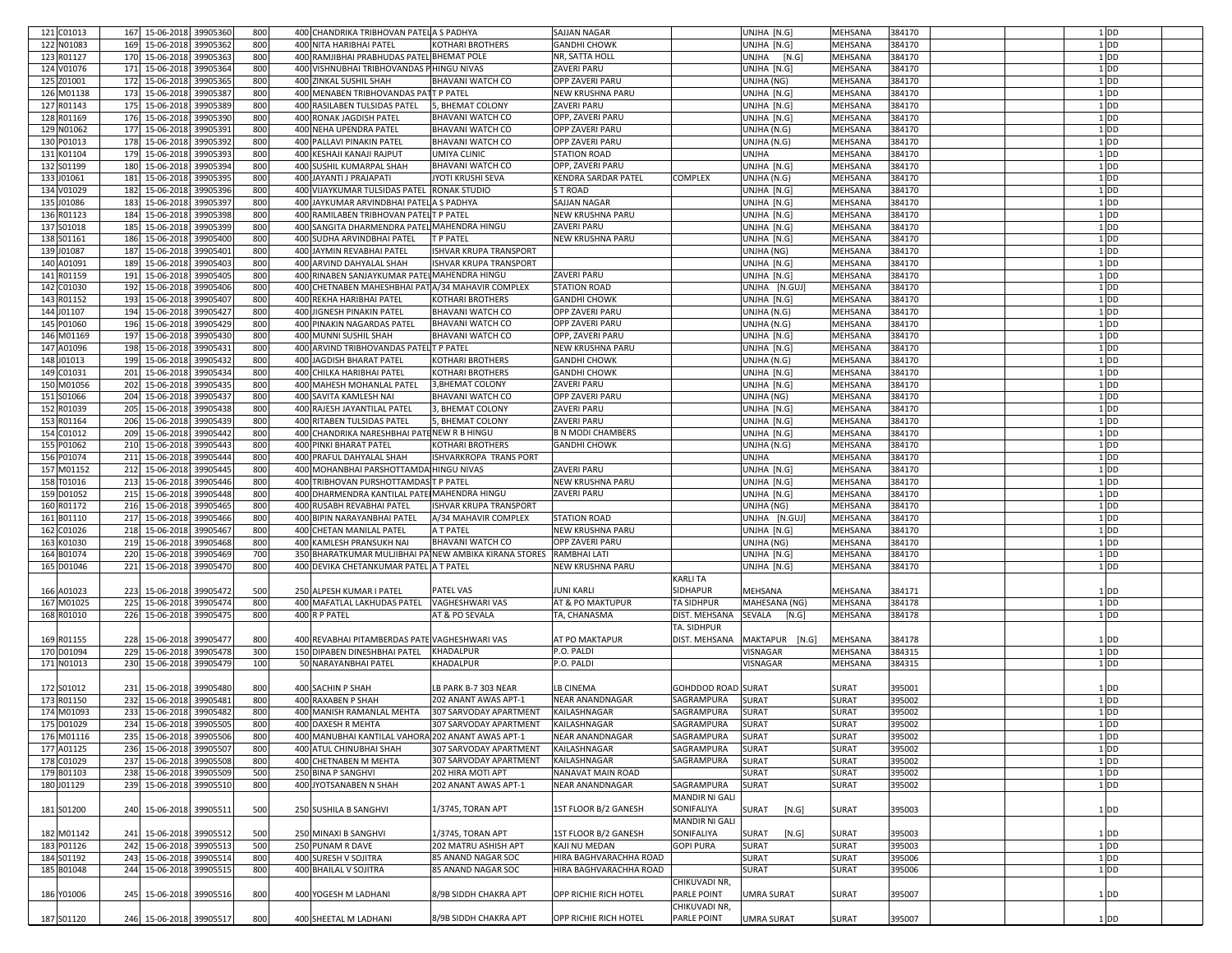| 121 C01013 | 167 15-06-2018          | 39905360 | 800 | 400 CHANDRIKA TRIBHOVAN PATEL A S PADHYA              |                               | SAJJAN NAGAR             |                              | UNJHA [N.G]           | MEHSANA        | 384170 |  | 1 <sub>DD</sub>   |
|------------|-------------------------|----------|-----|-------------------------------------------------------|-------------------------------|--------------------------|------------------------------|-----------------------|----------------|--------|--|-------------------|
| 122 N01083 | 169 15-06-2018          | 39905362 | 800 | 400 NITA HARIBHAI PATEL                               | <b>KOTHARI BROTHERS</b>       | <b>GANDHI CHOWK</b>      |                              | UNJHA [N.G]           | MEHSANA        | 384170 |  | 1 <sub>DD</sub>   |
|            |                         |          |     |                                                       |                               |                          |                              |                       |                |        |  |                   |
| 123 R01127 | 170 15-06-2018          | 39905363 | 800 | 400 RAMJIBHAI PRABHUDAS PATEL BHEMAT POLE             |                               | NR, SATTA HOLL           |                              | UNJHA<br>[N.G]        | MEHSANA        | 384170 |  | $1$ DD            |
| 124 V01076 | 171 15-06-2018          | 39905364 | 800 | 400 VISHNUBHAI TRIBHOVANDAS PHINGU NIVAS              |                               | ZAVERI PARU              |                              | UNJHA [N.G]           | MEHSANA        | 384170 |  | 1 <sub>DD</sub>   |
| 125 Z01001 | 172 15-06-2018          | 39905365 | 800 | 400 ZINKAL SUSHIL SHAH                                | <b>BHAVANI WATCH CO</b>       | <b>OPP ZAVERI PARU</b>   |                              | UNJHA (NG)            | MEHSANA        | 384170 |  | $1$ DD            |
| 126 M01138 | 173 15-06-2018          | 39905387 | 800 | 400 MENABEN TRIBHOVANDAS PATT P PATEL                 |                               | <b>NEW KRUSHNA PARU</b>  |                              | UNJHA [N.G]           | MEHSANA        | 384170 |  | $1$ DD            |
|            |                         |          |     |                                                       |                               |                          |                              |                       |                |        |  |                   |
| 127 R01143 | 175 15-06-2018          | 39905389 | 800 | 400 RASILABEN TULSIDAS PATEL                          | 5, BHEMAT COLONY              | ZAVERI PARU              |                              | UNJHA [N.G]           | MEHSANA        | 384170 |  | 1 <sub>DD</sub>   |
| 128 R01169 | 176 15-06-2018          | 39905390 | 800 | 400 RONAK JAGDISH PATEL                               | <b>BHAVANI WATCH CO</b>       | OPP, ZAVERI PARU         |                              | UNJHA [N.G]           | MEHSANA        | 384170 |  | $1$ DD            |
| 129 N01062 | 177 15-06-2018          | 39905391 | 800 | 400 NEHA UPENDRA PATEL                                | <b>BHAVANI WATCH CO</b>       | OPP ZAVERI PARU          |                              | UNJHA (N.G)           | MEHSANA        | 384170 |  | $1$ DD            |
|            |                         |          |     |                                                       |                               |                          |                              |                       |                |        |  |                   |
| 130 P01013 | 178 15-06-2018          | 39905392 | 800 | 400 PALLAVI PINAKIN PATEL                             | <b>BHAVANI WATCH CO</b>       | <b>OPP ZAVERI PARU</b>   |                              | UNJHA (N.G)           | MEHSANA        | 384170 |  | $1$ DD            |
| 131 K01104 | 179 15-06-2018          | 39905393 | 800 | 400 KESHAJI KANAJI RAJPUT                             | <b>UMIYA CLINIC</b>           | <b>STATION ROAD</b>      |                              | UNJHA                 | MEHSANA        | 384170 |  | $1$ DD            |
| 132 S01199 | 180 15-06-2018          | 39905394 | 800 | 400 SUSHIL KUMARPAL SHAH                              | <b>BHAVANI WATCH CO</b>       | OPP, ZAVERI PARU         |                              | UNJHA [N.G]           | MEHSANA        | 384170 |  | $1$ DD            |
|            |                         | 39905395 | 800 |                                                       |                               | KENDRA SARDAR PATEL      |                              |                       |                | 384170 |  | $1$ DD            |
| 133 J01061 | 181 15-06-2018          |          |     | 400 JAYANTI J PRAJAPATI                               | JYOTI KRUSHI SEVA             |                          | COMPLEX                      | UNJHA (N.G)           | MEHSANA        |        |  |                   |
| 134 V01029 | 182 15-06-2018          | 39905396 | 800 | 400 VIJAYKUMAR TULSIDAS PATEL RONAK STUDIO            |                               | S T ROAD                 |                              | UNJHA [N.G]           | MEHSANA        | 384170 |  | 1 <sub>DD</sub>   |
| 135 J01086 | 183 15-06-2018          | 39905397 | 800 | 400 JAYKUMAR ARVINDBHAI PATEL A S PADHYA              |                               | SAJJAN NAGAR             |                              | UNJHA [N.G]           | MEHSANA        | 384170 |  | $1$ DD            |
| 136 R01123 | 184 15-06-2018          | 39905398 | 800 | 400 RAMILABEN TRIBHOVAN PATEL T P PATEL               |                               | NEW KRUSHNA PARU         |                              | UNJHA [N.G]           | MEHSANA        | 384170 |  | $1$ DD            |
|            |                         |          |     |                                                       |                               |                          |                              |                       |                |        |  |                   |
| 137 S01018 | 185 15-06-2018          | 39905399 | 800 | 400 SANGITA DHARMENDRA PATEL MAHENDRA HINGU           |                               | ZAVERI PARU              |                              | UNJHA [N.G]           | MEHSANA        | 384170 |  | 1 <sub>DD</sub>   |
| 138 S01161 | 186 15-06-2018          | 39905400 | 800 | 400 SUDHA ARVINDBHAI PATEL                            | <b>T P PATEL</b>              | NEW KRUSHNA PARU         |                              | UNJHA [N.G]           | MEHSANA        | 384170 |  | $1$ DD            |
| 139 J01087 | 187 15-06-2018          | 39905401 | 800 | 400 JAYMIN REVABHAI PATEL                             | <b>ISHVAR KRUPA TRANSPORT</b> |                          |                              | UNJHA (NG)            | MEHSANA        | 384170 |  | $1$ DD            |
|            |                         |          |     |                                                       |                               |                          |                              |                       |                |        |  |                   |
| 140 A01091 | 189 15-06-2018          | 39905403 | 800 | 400 ARVIND DAHYALAL SHAH                              | <b>ISHVAR KRUPA TRANSPORT</b> |                          |                              | UNJHA [N.G]           | MEHSANA        | 384170 |  | $1$ DD            |
| 141 R01159 | 191 15-06-2018          | 39905405 | 800 | 400 RINABEN SANJAYKUMAR PATELMAHENDRA HINGU           |                               | ZAVERI PARU              |                              | UNJHA [N.G]           | MEHSANA        | 384170 |  | $1$ DD            |
| 142 C01030 | 192 15-06-2018          | 39905406 | 800 | 400 CHETNABEN MAHESHBHAI PAT A/34 MAHAVIR COMPLEX     |                               | <b>STATION ROAD</b>      |                              | UNJHA [N.GUJ]         | MEHSANA        | 384170 |  | 1 <sub>DD</sub>   |
| 143 R01152 | 193 15-06-2018          | 39905407 | 800 | 400 REKHA HARIBHAI PATEL                              | <b>KOTHARI BROTHERS</b>       | <b>GANDHI CHOWK</b>      |                              | UNJHA [N.G]           | MEHSANA        | 384170 |  | $1$ DD            |
|            |                         |          |     |                                                       |                               |                          |                              |                       |                |        |  |                   |
| 144 J01107 | 194 15-06-2018          | 39905427 | 800 | 400 JIGNESH PINAKIN PATEL                             | <b>BHAVANI WATCH CO</b>       | <b>OPP ZAVERI PARU</b>   |                              | UNJHA (N.G)           | MEHSANA        | 384170 |  | 1 <sub>DD</sub>   |
| 145 P01060 | 196 15-06-2018          | 39905429 | 800 | 400 PINAKIN NAGARDAS PATEL                            | <b>BHAVANI WATCH CO</b>       | <b>OPP ZAVERI PARU</b>   |                              | UNJHA (N.G)           | MEHSANA        | 384170 |  | $1$ DD            |
| 146 M01169 | 197 15-06-2018          | 39905430 | 800 | 400 MUNNI SUSHIL SHAH                                 | <b>BHAVANI WATCH CO</b>       | OPP, ZAVERI PARU         |                              | UNJHA [N.G]           | MEHSANA        | 384170 |  | $1$ DD            |
|            |                         |          |     | 400 ARVIND TRIBHOVANDAS PATEL T P PATEL               |                               |                          |                              |                       |                |        |  |                   |
| 147 A01096 | 198 15-06-2018          | 39905431 | 800 |                                                       |                               | NEW KRUSHNA PARU         |                              | UNJHA [N.G]           | MEHSANA        | 384170 |  | 1 <sub>DD</sub>   |
| 148 J01013 | 199 15-06-2018          | 39905432 | 800 | 400 JAGDISH BHARAT PATEL                              | <b>KOTHARI BROTHERS</b>       | <b>GANDHI CHOWK</b>      |                              | UNJHA (N.G)           | MEHSANA        | 384170 |  | $1$ DD            |
| 149 C01031 | 201 15-06-2018          | 39905434 | 800 | 400 CHILKA HARIBHAI PATEL                             | <b>KOTHARI BROTHERS</b>       | <b>GANDHI CHOWK</b>      |                              | UNJHA [N.G]           | MEHSANA        | 384170 |  | $1$ DD            |
| 150 M01056 | 202 15-06-2018          | 39905435 | 800 | 400 MAHESH MOHANLAL PATEL                             | 3, BHEMAT COLONY              | ZAVERI PARU              |                              | UNJHA [N.G]           | MEHSANA        | 384170 |  | $1$ DD            |
|            |                         |          |     |                                                       |                               |                          |                              |                       |                |        |  |                   |
| 151 S01066 | 204 15-06-2018          | 39905437 | 800 | 400 SAVITA KAMLESH NAI                                | <b>BHAVANI WATCH CO</b>       | OPP ZAVERI PARU          |                              | UNJHA (NG)            | MEHSANA        | 384170 |  | 1 <sub>DD</sub>   |
| 152 R01039 | 205 15-06-2018          | 39905438 | 800 | 400 RAJESH JAYANTILAL PATEL                           | 3, BHEMAT COLONY              | ZAVERI PARU              |                              | UNJHA [N.G]           | MEHSANA        | 384170 |  | $1$ DD            |
| 153 R01164 | 206 15-06-2018          | 39905439 | 800 | 400 RITABEN TULSIDAS PATEL                            | 5, BHEMAT COLONY              | ZAVERI PARU              |                              | UNJHA [N.G]           | MEHSANA        | 384170 |  | $1$ DD            |
|            |                         |          |     |                                                       |                               |                          |                              |                       |                |        |  |                   |
| 154 C01012 | 209 15-06-2018          | 39905442 | 800 | 400 CHANDRIKA NARESHBHAI PATENEW R B HINGU            |                               | <b>B N MODI CHAMBERS</b> |                              | UNJHA [N.G]           | MEHSANA        | 384170 |  | $1$ DD            |
| 155 P01062 | 210 15-06-2018          | 39905443 | 800 | 400 PINKI BHARAT PATEL                                | <b>KOTHARI BROTHERS</b>       | <b>GANDHI CHOWK</b>      |                              | UNJHA (N.G)           | MEHSANA        | 384170 |  | $1$ DD            |
| 156 P01074 | 211 15-06-2018          | 39905444 | 800 | 400 PRAFUL DAHYALAL SHAH                              | ISHVARKROPA TRANS PORT        |                          |                              | UNJHA                 | MEHSANA        | 384170 |  | 1 <sub>DD</sub>   |
|            |                         |          |     |                                                       |                               | <b>ZAVERI PARU</b>       |                              |                       |                |        |  |                   |
| 157 M01152 | 212 15-06-2018          | 39905445 | 800 | 400 MOHANBHAI PARSHOTTAMDA HINGU NIVAS                |                               |                          |                              | UNJHA [N.G]           | MEHSANA        | 384170 |  | 1 <sub>DD</sub>   |
| 158 T01016 | 213 15-06-2018          | 39905446 | 800 | 400 TRIBHOVAN PURSHOTTAMDAS T P PATEL                 |                               | <b>NEW KRUSHNA PARU</b>  |                              | UNJHA [N.G]           | MEHSANA        | 384170 |  | $1$ DD            |
|            |                         |          |     |                                                       |                               |                          |                              |                       |                |        |  |                   |
|            |                         |          |     |                                                       |                               |                          |                              |                       |                |        |  |                   |
| 159 D01052 | 215 15-06-2018          | 39905448 | 800 | 400 DHARMENDRA KANTILAL PATE MAHENDRA HINGU           |                               | <b>ZAVERI PARU</b>       |                              | UNJHA [N.G]           | MEHSANA        | 384170 |  | $1$ DD            |
| 160 R01172 | 216 15-06-2018          | 39905465 | 800 | 400 RUSABH REVABHAI PATEL                             | <b>ISHVAR KRUPA TRANSPORT</b> |                          |                              | UNJHA (NG)            | MEHSANA        | 384170 |  | $1$ DD            |
| 161 B01110 | 217 15-06-2018          | 39905466 | 800 | 400 BIPIN NARAYANBHAI PATEL                           | A/34 MAHAVIR COMPLEX          | <b>STATION ROAD</b>      |                              | UNJHA [N.GUJ]         | MEHSANA        | 384170 |  | $1$ DD            |
|            |                         |          |     |                                                       |                               | NEW KRUSHNA PARU         |                              |                       |                |        |  |                   |
| 162 C01026 | 218 15-06-2018          | 39905467 | 800 | 400 CHETAN MANILAL PATEL                              | A T PATEL                     |                          |                              | UNJHA [N.G]           | MEHSANA        | 384170 |  | 1 <sub>DD</sub>   |
| 163 K01030 | 219 15-06-2018          | 39905468 | 800 | 400 KAMLESH PRANSUKH NAI                              | <b>BHAVANI WATCH CO</b>       | OPP ZAVERI PARU          |                              | UNJHA (NG)            | MEHSANA        | 384170 |  | $1$ DD            |
| 164 B01074 | 220 15-06-2018          | 39905469 | 700 | 350 BHARATKUMAR MULJIBHAI PA NEW AMBIKA KIRANA STORES |                               | RAMBHAI LATI             |                              | UNJHA [N.G]           | MEHSANA        | 384170 |  | 1 <sub>DD</sub>   |
| 165 D01046 | 221 15-06-2018          | 39905470 | 800 | 400 DEVIKA CHETANKUMAR PATEL A T PATEL                |                               | NEW KRUSHNA PARU         |                              | UNJHA [N.G]           | MEHSANA        | 384170 |  | 1 <sub>DD</sub>   |
|            |                         |          |     |                                                       |                               |                          |                              |                       |                |        |  |                   |
|            |                         |          |     |                                                       |                               |                          | KARLI TA                     |                       |                |        |  |                   |
| 166 A01023 | 223 15-06-2018          | 39905472 | 500 | 250 ALPESH KUMAR I PATEL                              | PATEL VAS                     | <b>JUNI KARLI</b>        | SIDHAPUR                     | MEHSANA               | MEHSANA        | 384171 |  | $1$ DD            |
| 167 M01025 | 225 15-06-2018          | 39905474 | 800 | 400 MAFATLAL LAKHUDAS PATEL                           | VAGHESHWARI VAS               | AT & PO MAKTUPUR         | TA SIDHPUR                   | MAHESANA (NG)         | MEHSANA        | 384178 |  | $1$ DD            |
| 168 R01010 | 226 15-06-2018          | 39905475 | 800 | 400 R P PATEL                                         | AT & PO SEVALA                | TA, CHANASMA             | DIST. MEHSANA                | SEVALA<br>[N.G]       | <b>MEHSANA</b> | 384178 |  | $1$ <sub>DD</sub> |
|            |                         |          |     |                                                       |                               |                          |                              |                       |                |        |  |                   |
|            |                         |          |     |                                                       |                               |                          | TA. SIDHPUR                  |                       |                |        |  |                   |
| 169 R01155 | 228 15-06-2018          | 39905477 | 800 | 400 REVABHAI PITAMBERDAS PATE VAGHESHWARI VAS         |                               | AT PO MAKTAPUR           | DIST. MEHSANA                | MAKTAPUR [N.G]        | MEHSANA        | 384178 |  | $1$ DD            |
| 170 D01094 | 229 15-06-2018          | 39905478 | 300 | 150 DIPABEN DINESHBHAI PATEL                          | <b>KHADALPUR</b>              | P.O. PALDI               |                              | VISNAGAR              | MEHSANA        | 384315 |  | 1 <sub>DD</sub>   |
|            |                         |          |     |                                                       |                               |                          |                              |                       |                |        |  |                   |
| 171 N01013 | 230 15-06-2018          | 39905479 | 100 | 50 NARAYANBHAI PATEL                                  | KHADALPUR                     | P.O. PALDI               |                              | VISNAGAR              | MEHSANA        | 384315 |  | $1$ DD            |
|            |                         |          |     |                                                       |                               |                          |                              |                       |                |        |  |                   |
| 172 S01012 | 231 15-06-2018          | 39905480 | 800 | 400 SACHIN P SHAH                                     | LB PARK B-7 303 NEAR          | LB CINEMA                | <b>GOHDDOD ROAD SURAT</b>    |                       | <b>SURAT</b>   | 395001 |  | $1$ DD            |
| 173 R01150 | 232 15-06-2018          | 39905481 | 800 | 400 RAXABEN P SHAH                                    | 202 ANANT AWAS APT-1          | <b>NEAR ANANDNAGAR</b>   | SAGRAMPURA                   | SURAT                 | <b>SURAT</b>   | 395002 |  | $1$ <sub>DD</sub> |
|            |                         |          |     |                                                       |                               |                          |                              |                       |                |        |  |                   |
| 174 M01093 | 233 15-06-2018 39905482 |          | 800 | 400 MANISH RAMANLAL MEHTA                             | 307 SARVODAY APARTMENT        | KAILASHNAGAR             | SAGRAMPURA                   | SURAT                 | SURAT          | 395002 |  | $1$ <sub>DD</sub> |
| 175 D01029 | 234 15-06-2018 39905505 |          | 800 | 400 DAXESH R MEHTA                                    | 307 SARVODAY APARTMENT        | KAILASHNAGAR             | SAGRAMPURA                   | <b>SURAT</b>          | SURAT          | 395002 |  | $1$ DD            |
| 176 M01116 | 235 15-06-2018 39905506 |          | 800 | 400 MANUBHAI KANTILAL VAHORA 202 ANANT AWAS APT-1     |                               | <b>NEAR ANANDNAGAR</b>   | SAGRAMPURA                   | <b>SURAT</b>          | SURAT          | 395002 |  | $1$ <sub>DD</sub> |
|            |                         |          |     |                                                       |                               |                          |                              |                       |                |        |  |                   |
| 177 A01125 | 236 15-06-2018 39905507 |          | 800 | 400 ATUL CHINUBHAI SHAH                               | 307 SARVODAY APARTMENT        | KAILASHNAGAR             | SAGRAMPURA                   | SURAT                 | SURAT          | 395002 |  | $1$ DD            |
| 178 C01029 | 237 15-06-2018 39905508 |          | 800 | 400 CHETNABEN M MEHTA                                 | 307 SARVODAY APARTMENT        | KAILASHNAGAR             | SAGRAMPURA                   | SURAT                 | SURAT          | 395002 |  | $1$ DD            |
| 179 B01103 | 238 15-06-2018 39905509 |          | 500 | 250 BINA P SANGHVI                                    | 202 HIRA MOTI APT             | NANAVAT MAIN ROAD        |                              | SURAT                 | SURAT          | 395002 |  | $1$ DD            |
|            |                         |          |     |                                                       | 202 ANANT AWAS APT-1          | <b>NEAR ANANDNAGAR</b>   |                              |                       |                |        |  |                   |
| 180 J01129 | 239 15-06-2018 39905510 |          | 800 | 400 JYOTSANABEN N SHAH                                |                               |                          | SAGRAMPURA                   | SURAT                 | SURAT          | 395002 |  | $1$ <sub>DD</sub> |
|            |                         |          |     |                                                       |                               |                          | <b>MANDIR NI GALI</b>        |                       |                |        |  |                   |
| 181 S01200 | 240 15-06-2018 39905511 |          | 500 | 250 SUSHILA B SANGHVI                                 | 1/3745, TORAN APT             | 1ST FLOOR B/2 GANESH     | SONIFALIYA                   | SURAT<br>[N.G]        | SURAT          | 395003 |  | 1 DD              |
|            |                         |          |     |                                                       |                               |                          | MANDIR NI GALI               |                       |                |        |  |                   |
|            |                         |          |     |                                                       |                               |                          |                              |                       |                |        |  |                   |
| 182 M01142 | 241 15-06-2018 39905512 |          | 500 | 250 MINAXI B SANGHVI                                  | 1/3745, TORAN APT             | 1ST FLOOR B/2 GANESH     | SONIFALIYA                   | <b>SURAT</b><br>[N.G] | SURAT          | 395003 |  | $1$ DD            |
| 183 P01126 | 242 15-06-2018 39905513 |          | 500 | 250 PUNAM R DAVE                                      | 202 MATRU ASHISH APT          | KAJI NU MEDAN            | <b>GOPI PURA</b>             | <b>SURAT</b>          | SURAT          | 395003 |  | $1$ <sub>DD</sub> |
| 184 S01192 | 243 15-06-2018 39905514 |          | 800 | 400 SURESH V SOJITRA                                  | 85 ANAND NAGAR SOC            | HIRA BAGHVARACHHA ROAD   |                              | SURAT                 | SURAT          | 395006 |  | $1$ <sub>DD</sub> |
|            |                         |          |     |                                                       |                               |                          |                              |                       |                |        |  |                   |
| 185 B01048 | 244 15-06-2018 39905515 |          | 800 | 400 BHAILAL V SOJITRA                                 | 85 ANAND NAGAR SOC            | HIRA BAGHVARACHHA ROAD   |                              | SURAT                 | SURAT          | 395006 |  | 1 <sub>DD</sub>   |
|            |                         |          |     |                                                       |                               |                          | CHIKUVADI NR,                |                       |                |        |  |                   |
| 186 Y01006 | 245 15-06-2018 39905516 |          | 800 | 400 YOGESH M LADHANI                                  | 8/9B SIDDH CHAKRA APT         | OPP RICHIE RICH HOTEL    | PARLE POINT                  | UMRA SURAT            | SURAT          | 395007 |  | 1 <sub>DD</sub>   |
|            |                         |          |     |                                                       |                               |                          |                              |                       |                |        |  |                   |
| 187 S01120 | 246 15-06-2018 39905517 |          | 800 | 400 SHEETAL M LADHANI                                 | 8/9B SIDDH CHAKRA APT         | OPP RICHIE RICH HOTEL    | CHIKUVADI NR,<br>PARLE POINT | UMRA SURAT            | SURAT          | 395007 |  | 1 <sub>DD</sub>   |